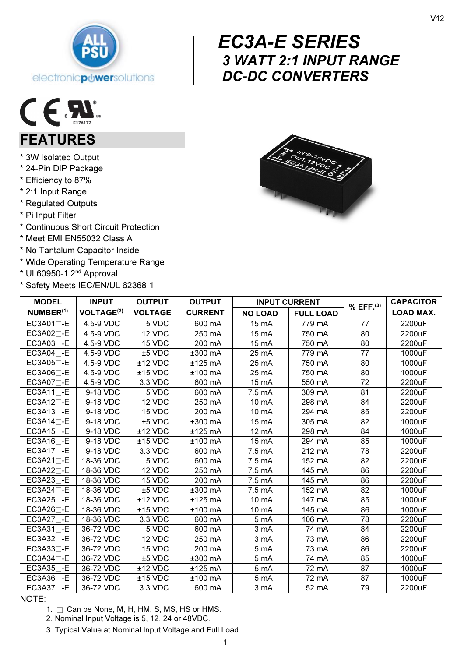

## $\begin{array}{c} \begin{array}{c} E^{(1)} \\ 3 \\ D^{(2)} \end{array} \end{array}$  EC3A-E SERIES 3 WATT 2:1 INPUT RANGE DC-DC CONVERTERS



## FEATURES

- \* 3W Isolated Output
- \* 24-Pin DIP Package
- \* Efficiency to 87%
- \* 2:1 Input Range
- \* Regulated Outputs
- \* Pi Input Filter
- \* Continuous Short Circuit Protection
- \* Meet EMI EN55032 Class A
- \* No Tantalum Capacitor Inside
- \* Wide Operating Temperature Range
- \* UL60950-1 2nd Approval
- \* Safety Meets IEC/EN/UL 62368-1



| <b>MODEL</b>              | <b>INPUT</b>                 | <b>OUTPUT</b>        | <b>OUTPUT</b>  | <b>INPUT CURRENT</b>               |        | $%$ EFF. $^{(3)}$ | <b>CAPACITOR</b> |
|---------------------------|------------------------------|----------------------|----------------|------------------------------------|--------|-------------------|------------------|
| NUMBER <sup>(1)</sup>     | <b>VOLTAGE<sup>(2)</sup></b> | <b>VOLTAGE</b>       | <b>CURRENT</b> | <b>FULL LOAD</b><br><b>NO LOAD</b> |        |                   | <b>LOAD MAX.</b> |
| $EC3A01\Box$ -E           | 4.5-9 VDC                    | 5 VDC                | 600 mA         | 15 mA                              | 779 mA | 77                | 2200uF           |
| $EC3A02\Box$ -E           | 4.5-9 VDC                    | $\overline{1}$ 2 VDC | 250 mA         | 15 mA                              | 750 mA | 80                | 2200uF           |
| $EC3A03$ -E               | 4.5-9 VDC                    | 15 VDC               | 200 mA         | 15 mA                              | 750 mA | 80                | 2200uF           |
| $EC3A04$ <sup>-</sup>     | 4.5-9 VDC                    | $±5$ VDC             | ±300 mA        | 25 mA                              | 779 mA | 77                | 1000uF           |
| $EC3A05$ <sup>-</sup>     | 4.5-9 VDC                    | ±12 VDC              | $±125$ mA      | 25 mA                              | 750 mA | 80                | 1000uF           |
| $EC3A06$ -E               | 4.5-9 VDC                    | $±15$ VDC            | $±100$ mA      | 25 mA                              | 750 mA | 80                | 1000uF           |
| $EC3A07\Box$ -E           | 4.5-9 VDC                    | 3.3 VDC              | 600 mA         | 15 mA                              | 550 mA | 72                | 2200uF           |
| $EC3A11$ <sup>-E</sup>    | 9-18 VDC                     | 5 VDC                | 600 mA         | 7.5 mA                             | 309 mA | 81                | 2200uF           |
| $EC3A12\Box$ -E           | 9-18 VDC                     | 12 VDC               | 250 mA         | 10 mA                              | 298 mA | 84                | 2200uF           |
| $EC3A13$ -E               | 9-18 VDC                     | 15 VDC               | 200 mA         | 10 mA                              | 294 mA | 85                | 2200uF           |
| $EC3A14$ -E               | 9-18 VDC                     | ±5 VDC               | ±300 mA        | 15 mA                              | 305 mA | 82                | 1000uF           |
| $EC3A15$ <sup>-</sup>     | 9-18 VDC                     | ±12 VDC              | $±125$ mA      | 12 mA                              | 298 mA | 84                | 1000uF           |
| $EC3A16$ -E               | 9-18 VDC                     | $±15$ VDC            | $±100$ mA      | 15 mA                              | 294 mA | 85                | 1000uF           |
| $EC3A17\neg$ -E           | 9-18 VDC                     | 3.3 VDC              | 600 mA         | 7.5 mA                             | 212 mA | 78                | 2200uF           |
| $EC3A21\Box$ -E           | 18-36 VDC                    | 5 VDC                | 600 mA         | 7.5 mA                             | 152 mA | 82                | 2200uF           |
| $EC3A22$ -E               | 18-36 VDC                    | 12 VDC               | 250 mA         | 7.5 mA                             | 145 mA | 86                | 2200uF           |
| $EC3A23T-E$               | 18-36 VDC                    | 15 VDC               | 200 mA         | 7.5 mA                             | 145 mA | 86                | 2200uF           |
| $EC3A24$ - E              | 18-36 VDC                    | $±5$ VDC             | $±300$ mA      | 7.5 mA                             | 152 mA | 82                | 1000uF           |
| $EC3A25$ -E               | 18-36 VDC                    | $±12$ VDC            | $±125$ mA      | 10 mA                              | 147 mA | 85                | 1000uF           |
| $EC3A26$ -E               | 18-36 VDC                    | $±15$ VDC            | $±100$ mA      | 10 mA                              | 145 mA | 86                | 1000uF           |
| $EC3A27$ <sup>-</sup> $E$ | 18-36 VDC                    | 3.3 VDC              | 600 mA         | 5 mA                               | 106 mA | 78                | 2200uF           |
| $EC3A31$ <sup>-</sup>     | 36-72 VDC                    | 5 VDC                | 600 mA         | 3 mA                               | 74 mA  | 84                | 2200uF           |
| $EC3A32$ -E               | 36-72 VDC                    | 12 VDC               | 250 mA         | 3 mA                               | 73 mA  | 86                | 2200uF           |
| $EC3A33$ -E               | 36-72 VDC                    | 15 VDC               | 200 mA         | 5 mA                               | 73 mA  | 86                | 2200uF           |
| $EC3A34$ -E               | 36-72 VDC                    | ±5 VDC               | $±300$ mA      | 5 mA                               | 74 mA  | 85                | 1000uF           |
| $EC3A35$ -E               | 36-72 VDC                    | $±12$ VDC            | $±125$ mA      | 5 mA                               | 72 mA  | 87                | 1000uF           |
| $EC3A36$ -E               | 36-72 VDC                    | $±15$ VDC            | $±100$ mA      | 5 mA                               | 72 mA  | 87                | 1000uF           |
| $EC3A37$ <sup>-E</sup>    | 36-72 VDC                    | 3.3 VDC              | 600 mA         | 3 mA                               | 52 mA  | 79                | 2200uF           |

### NOTE:

1.  $\Box$  Can be None, M, H, HM, S, MS, HS or HMS.

2. Nominal Input Voltage is 5, 12, 24 or 48VDC.

3. Typical Value at Nominal Input Voltage and Full Load.